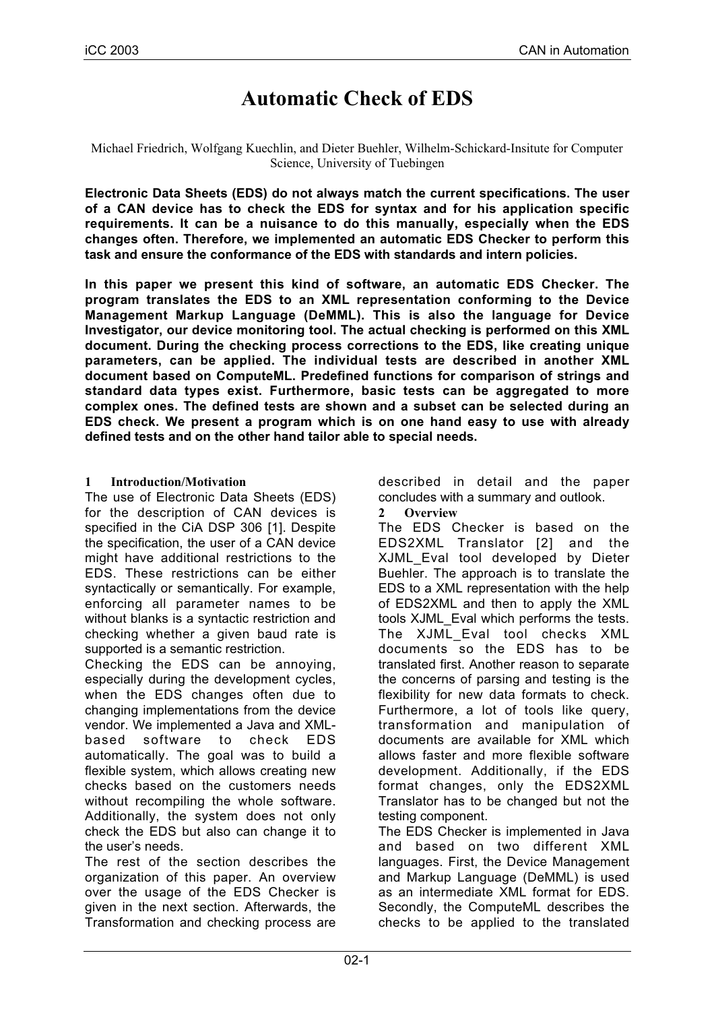# **Automatic Check of EDS**

Michael Friedrich, Wolfgang Kuechlin, and Dieter Buehler, Wilhelm-Schickard-Insitute for Computer Science, University of Tuebingen

**Electronic Data Sheets (EDS) do not always match the current specifications. The user of a CAN device has to check the EDS for syntax and for his application specific requirements. It can be a nuisance to do this manually, especially when the EDS changes often. Therefore, we implemented an automatic EDS Checker to perform this task and ensure the conformance of the EDS with standards and intern policies.**

**In this paper we present this kind of software, an automatic EDS Checker. The program translates the EDS to an XML representation conforming to the Device Management Markup Language (DeMML). This is also the language for Device Investigator, our device monitoring tool. The actual checking is performed on this XML document. During the checking process corrections to the EDS, like creating unique parameters, can be applied. The individual tests are described in another XML document based on ComputeML. Predefined functions for comparison of strings and standard data types exist. Furthermore, basic tests can be aggregated to more complex ones. The defined tests are shown and a subset can be selected during an EDS check. We present a program which is on one hand easy to use with already defined tests and on the other hand tailor able to special needs.**

## **1 Introduction/Motivation**

The use of Electronic Data Sheets (EDS) for the description of CAN devices is specified in the CiA DSP 306 [1]. Despite the specification, the user of a CAN device might have additional restrictions to the EDS. These restrictions can be either syntactically or semantically. For example, enforcing all parameter names to be without blanks is a syntactic restriction and checking whether a given baud rate is supported is a semantic restriction.

Checking the EDS can be annoying, especially during the development cycles, when the EDS changes often due to changing implementations from the device vendor. We implemented a Java and XMLbased software to check EDS automatically. The goal was to build a flexible system, which allows creating new checks based on the customers needs without recompiling the whole software. Additionally, the system does not only check the EDS but also can change it to the user's needs.

The rest of the section describes the organization of this paper. An overview over the usage of the EDS Checker is given in the next section. Afterwards, the Transformation and checking process are described in detail and the paper concludes with a summary and outlook.

**2 Overview**

The EDS Checker is based on the EDS2XML Translator [2] and the XJML\_Eval tool developed by Dieter Buehler. The approach is to translate the EDS to a XML representation with the help of EDS2XML and then to apply the XML tools XJML\_Eval which performs the tests. The XJML\_Eval tool checks XML documents so the EDS has to be translated first. Another reason to separate the concerns of parsing and testing is the flexibility for new data formats to check. Furthermore, a lot of tools like query, transformation and manipulation of documents are available for XML which allows faster and more flexible software development. Additionally, if the EDS format changes, only the EDS2XML Translator has to be changed but not the testing component.

The EDS Checker is implemented in Java and based on two different XML languages. First, the Device Management and Markup Language (DeMML) is used as an intermediate XML format for EDS. Secondly, the ComputeML describes the checks to be applied to the translated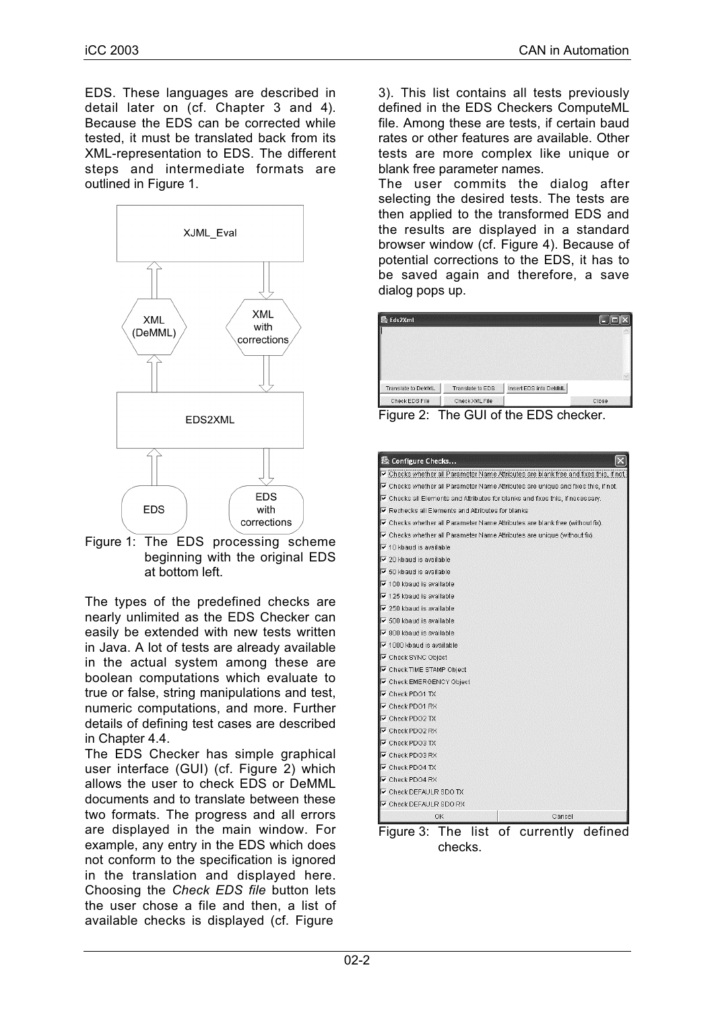EDS. These languages are described in detail later on (cf. Chapter 3 and 4). Because the EDS can be corrected while tested, it must be translated back from its XML-representation to EDS. The different steps and intermediate formats are outlined in Figure 1.



Figure 1: The EDS processing scheme beginning with the original EDS at bottom left.

The types of the predefined checks are nearly unlimited as the EDS Checker can easily be extended with new tests written in Java. A lot of tests are already available in the actual system among these are boolean computations which evaluate to true or false, string manipulations and test, numeric computations, and more. Further details of defining test cases are described in Chapter 4.4.

The EDS Checker has simple graphical user interface (GUI) (cf. Figure 2) which allows the user to check EDS or DeMML documents and to translate between these two formats. The progress and all errors are displayed in the main window. For example, any entry in the EDS which does not conform to the specification is ignored in the translation and displayed here. Choosing the *Check EDS file* button lets the user chose a file and then, a list of available checks is displayed (cf. Figure

3). This list contains all tests previously defined in the EDS Checkers ComputeML file. Among these are tests, if certain baud rates or other features are available. Other tests are more complex like unique or blank free parameter names.

The user commits the dialog after selecting the desired tests. The tests are then applied to the transformed EDS and the results are displayed in a standard browser window (cf. Figure 4). Because of potential corrections to the EDS, it has to be saved again and therefore, a save dialog pops up.

| ® Eds2Xml          |                  |                       |  |
|--------------------|------------------|-----------------------|--|
|                    |                  |                       |  |
|                    |                  |                       |  |
|                    |                  |                       |  |
| Translate to DeMML | Translate to EDS | Insert EDS into DeMML |  |

Figure 2: The GUI of the EDS checker.

| 恐 Configure Checks                                                                          |
|---------------------------------------------------------------------------------------------|
| Checks whether all Parameter Name Attributes are blank free and fixes this, if not.         |
| ○ Checks whether all Parameter Name Attributes are unique and fixes this, if not.           |
| $\triangledown$ Checks all Elements and Attributes for blanks and fixes this, if necessary. |
| Ⅳ Rechecks all Elements and Attributes for blanks                                           |
| $\triangledown$ Checks whether all Parameter Name Attributes are blank free (without fix).  |
| ○ Checks whether all Parameter Name Attributes are unique (without fix).                    |
| $\nabla$ 10 kbaud is available                                                              |
| $\nabla$ 20 kbaud is available                                                              |
| $\triangledown$ 50 kbaud is available                                                       |
| $\nabla$ 100 kbaud is available                                                             |
| $\triangledown$ 125 kbaud is available                                                      |
| $\nabla$ 250 kbaud is available                                                             |
| <b>▽</b> 500 kbaud is available                                                             |
| $\nabla$ 800 kbaud is available                                                             |
| $\triangledown$ 1000 kbaud is available                                                     |
| <b>▽</b> Check SYNC Object                                                                  |
| <b>V</b> Check TIME STAMP Object                                                            |
| IV Check EMERGENCY Object                                                                   |
| $\triangledown$ Check PD01 TX                                                               |
| $\nabla$ Check PDO1 RX                                                                      |
| $\triangledown$ Check PDO2 TX                                                               |
| $\triangledown$ Check PDO2 RX                                                               |
| $\nabla$ Check PD03 TX                                                                      |
| $\nabla$ Check PD03 RX                                                                      |
| $\nabla$ Check PDO4 TX                                                                      |
| $\nabla$ Check PDO4 RX                                                                      |
| <b>V</b> Check DEFAULR SDO TX                                                               |
| Check DEFAULR SDO RX                                                                        |
| OK<br>Cancel                                                                                |
|                                                                                             |

Figure 3: The list of currently defined checks.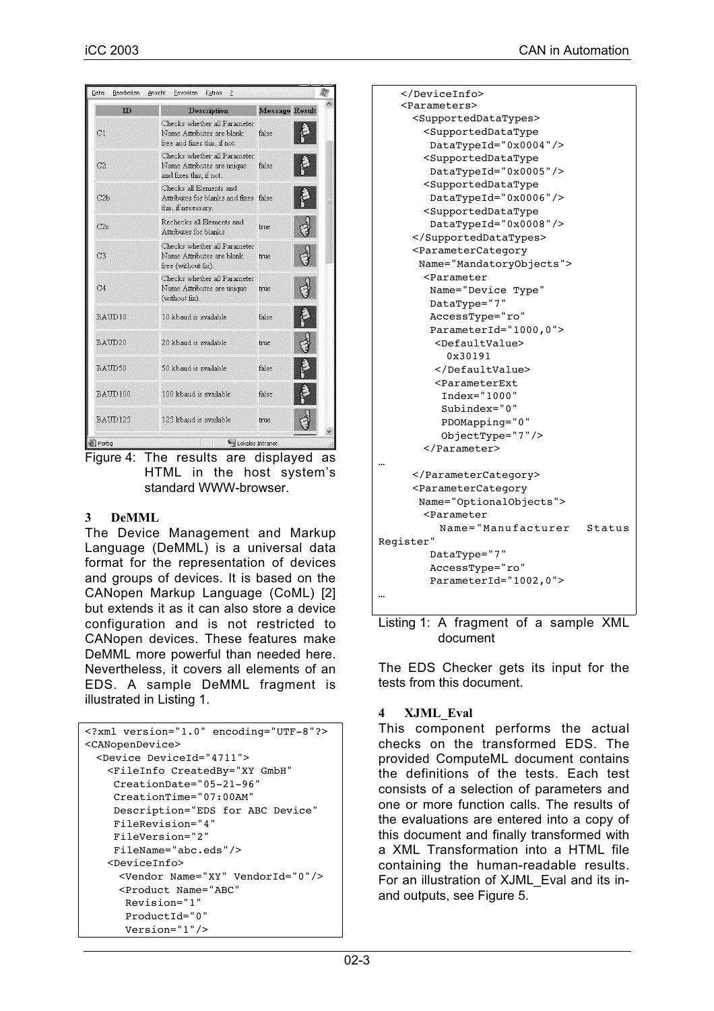| Datei<br>Bearbeiten | Ansicht<br>Favoriten<br>Extras<br>?                                                       |                       |  |
|---------------------|-------------------------------------------------------------------------------------------|-----------------------|--|
| ID                  | <b>Description</b>                                                                        | <b>Message Result</b> |  |
| C1                  | Checks whether all Parameter<br>Name Attributes are blank<br>free and fixes this, if not. | false                 |  |
| C <sub>2</sub>      | Checks whether all Parameter<br>Name Attributes are unique<br>and fixes this, if not.     | <b>false</b>          |  |
| C2b                 | Checks all Elements and<br>Attributes for blanks and fixes false<br>this, if necessary.   |                       |  |
| C2c                 | Rechecks all Elements and<br>Attributes for blanks                                        | true                  |  |
| C <sub>3</sub>      | Checks whether all Parameter<br>Name Attributes are blank<br>free (without fix).          | true                  |  |
| C <sub>4</sub>      | Checks whether all Parameter<br>Name Attributes are unique<br>(without fix).              | true.                 |  |
| BAUD10              | 10 kbaud is available.                                                                    | false                 |  |
| BAIID20             | 20 khaud is available.                                                                    | true                  |  |
| BAUD50              | 50 kbaud is available                                                                     | false                 |  |
| BAUD100             | 100 kbaud is available                                                                    | false                 |  |
| BAUD125             | 125 kbaud is available                                                                    | true.                 |  |
| Fertig              | Lokales Intranet                                                                          |                       |  |

Figure 4: The results are displayed as HTML in the host system's standard WWW-browser.

## **3 DeMML**

The Device Management and Markup Language (DeMML) is a universal data format for the representation of devices and groups of devices. It is based on the CANopen Markup Language (CoML) [2] but extends it as it can also store a device configuration and is not restricted to CANopen devices. These features make DeMML more powerful than needed here. Nevertheless, it covers all elements of an EDS. A sample DeMML fragment is illustrated in Listing 1.

```
<?xml version="1.0" encoding="UTF-8"?>
<CANopenDevice>
 <Device DeviceId="4711">
   <FileInfo CreatedBy="XY GmbH"
     CreationDate="05-21-96"
     CreationTime="07:00AM"
     Description="EDS for ABC Device"
     FileRevision="4"
     FileVersion="2"
     FileName="abc.eds"/>
   <DeviceInfo>
     <Vendor Name="XY" VendorId="0"/>
     <Product Name="ABC"
       Revision="1"
       ProductId="0"
       Version="1"/>
```

| <parameters></parameters>                                |  |
|----------------------------------------------------------|--|
| <supporteddatatypes></supporteddatatypes>                |  |
| <supporteddatatype< td=""><td></td></supporteddatatype<> |  |
| DataTypeId="0x0004"/>                                    |  |
| <supporteddatatype< td=""><td></td></supporteddatatype<> |  |
| DataTypeId="0x0005"/>                                    |  |
| <supporteddatatype< td=""><td></td></supporteddatatype<> |  |
| DataTypeId="0x0006"/>                                    |  |
| <supporteddatatype< td=""><td></td></supporteddatatype<> |  |
| DataTypeId="0x0008"/>                                    |  |
|                                                          |  |
| <parametercategory< td=""><td></td></parametercategory<> |  |
| Name="MandatoryObjects">                                 |  |
| <parameter< td=""><td></td></parameter<>                 |  |
| Name="Device Type"                                       |  |
| DataType="7"                                             |  |
| AccessType="ro"                                          |  |
| ParameterId="1000,0">                                    |  |
| <defaultvalue></defaultvalue>                            |  |
| 0x30191                                                  |  |
|                                                          |  |
| <parameterext< td=""><td></td></parameterext<>           |  |
| Index="1000"                                             |  |
| Subindex="0"                                             |  |
| PDOMapping="0"                                           |  |
| ObjectType="7"/>                                         |  |
|                                                          |  |
|                                                          |  |
|                                                          |  |
| <parametercategory< td=""><td></td></parametercategory<> |  |
| Name="OptionalObjects">                                  |  |
| <parameter< td=""><td></td></parameter<>                 |  |
| Name="Manufacturer Status                                |  |
| Register"                                                |  |
| DataType="7"                                             |  |
| AccessType="ro"                                          |  |
| ParameterId="1002,0">                                    |  |
|                                                          |  |
|                                                          |  |
|                                                          |  |

Listing 1: A fragment of a sample XML document

The EDS Checker gets its input for the tests from this document.

# **4 XJML\_Eval**

This component performs the actual checks on the transformed EDS. The provided ComputeML document contains the definitions of the tests. Each test consists of a selection of parameters and one or more function calls. The results of the evaluations are entered into a copy of this document and finally transformed with a XML Transformation into a HTML file containing the human-readable results. For an illustration of XJML\_Eval and its inand outputs, see Figure 5.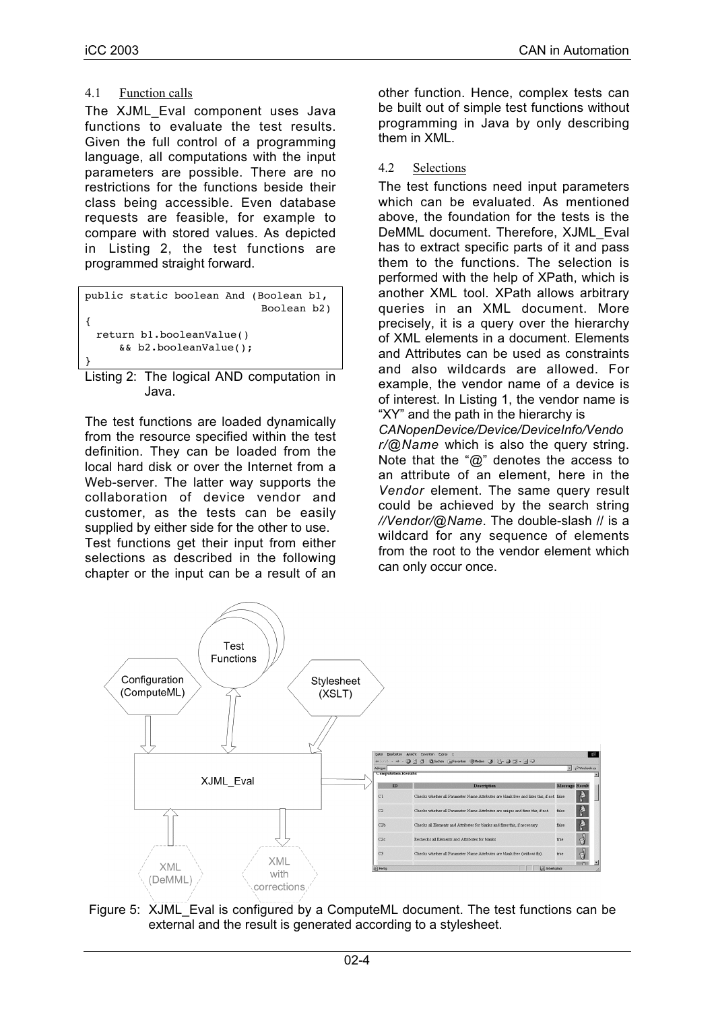# 4.1 Function calls

The XJML\_Eval component uses Java functions to evaluate the test results. Given the full control of a programming language, all computations with the input parameters are possible. There are no restrictions for the functions beside their class being accessible. Even database requests are feasible, for example to compare with stored values. As depicted in Listing 2, the test functions are programmed straight forward.

|  |                          | public static boolean And (Boolean b1,                    |
|--|--------------------------|-----------------------------------------------------------|
|  |                          | Boolean b2)                                               |
|  |                          |                                                           |
|  | return bl.booleanValue() |                                                           |
|  | $& k$ b2.booleanValue(); |                                                           |
|  |                          |                                                           |
|  |                          | $\mathbf{r} \cdot \mathbf{r}$ . The state of $\mathbf{r}$ |

#### Listing 2: The logical AND computation in Java.

The test functions are loaded dynamically from the resource specified within the test definition. They can be loaded from the local hard disk or over the Internet from a Web-server. The latter way supports the collaboration of device vendor and customer, as the tests can be easily supplied by either side for the other to use. Test functions get their input from either selections as described in the following chapter or the input can be a result of an

other function. Hence, complex tests can be built out of simple test functions without programming in Java by only describing them in XML.

4.2 Selections

The test functions need input parameters which can be evaluated. As mentioned above, the foundation for the tests is the DeMML document. Therefore, XJML\_Eval has to extract specific parts of it and pass them to the functions. The selection is performed with the help of XPath, which is another XML tool. XPath allows arbitrary queries in an XML document. More precisely, it is a query over the hierarchy of XML elements in a document. Elements and Attributes can be used as constraints and also wildcards are allowed. For example, the vendor name of a device is of interest. In Listing 1, the vendor name is "XY" and the path in the hierarchy is

*CANopenDevice/Device/DeviceInfo/Vendo r/@Name* which is also the query string. Note that the "@" denotes the access to an attribute of an element, here in the *Vendor* element. The same query result could be achieved by the search string *//Vendor/@Name*. The double-slash // is a wildcard for any sequence of elements from the root to the vendor element which can only occur once.



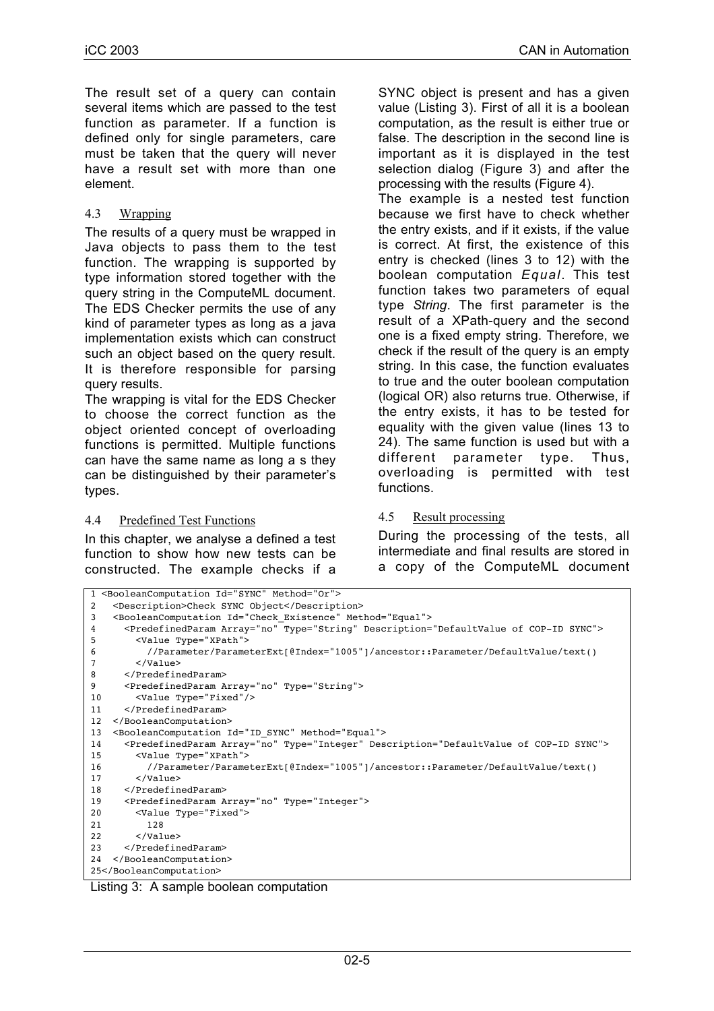The result set of a query can contain several items which are passed to the test function as parameter. If a function is defined only for single parameters, care must be taken that the query will never have a result set with more than one element.

# 4.3 Wrapping

The results of a query must be wrapped in Java objects to pass them to the test function. The wrapping is supported by type information stored together with the query string in the ComputeML document. The EDS Checker permits the use of any kind of parameter types as long as a java implementation exists which can construct such an object based on the query result. It is therefore responsible for parsing query results.

The wrapping is vital for the EDS Checker to choose the correct function as the object oriented concept of overloading functions is permitted. Multiple functions can have the same name as long a s they can be distinguished by their parameter's types.

## 4.4 Predefined Test Functions

In this chapter, we analyse a defined a test function to show how new tests can be constructed. The example checks if a

SYNC object is present and has a given value (Listing 3). First of all it is a boolean computation, as the result is either true or false. The description in the second line is important as it is displayed in the test selection dialog (Figure 3) and after the processing with the results (Figure 4).

The example is a nested test function because we first have to check whether the entry exists, and if it exists, if the value is correct. At first, the existence of this entry is checked (lines 3 to 12) with the boolean computation *Equal*. This test function takes two parameters of equal type *String*. The first parameter is the result of a XPath-query and the second one is a fixed empty string. Therefore, we check if the result of the query is an empty string. In this case, the function evaluates to true and the outer boolean computation (logical OR) also returns true. Otherwise, if the entry exists, it has to be tested for equality with the given value (lines 13 to 24). The same function is used but with a different parameter type. Thus, overloading is permitted with test functions.

# 4.5 Result processing

During the processing of the tests, all intermediate and final results are stored in a copy of the ComputeML document

| 1 <booleancomputation id="SYNC" method="0r"></booleancomputation>                                              |
|----------------------------------------------------------------------------------------------------------------|
| <description>Check SYNC Object</description><br>2                                                              |
| <booleancomputation id="Check Existence" method="Equal"><br/>3</booleancomputation>                            |
| <predefinedparam array="no" description="DefaultValue of COP-ID SYNC" type="String"><br/>4</predefinedparam>   |
| <value type="XPath"><br/>5</value>                                                                             |
| //Parameter/ParameterExt[@Index="1005"]/ancestor::Parameter/DefaultValue/text()<br>6                           |
| $\langle$ /Value><br>7                                                                                         |
| <br>8                                                                                                          |
| 9<br><predefinedparam array="no" type="String"></predefinedparam>                                              |
| <value type="Fixed"></value><br>10                                                                             |
| <br>11                                                                                                         |
| 12<br>                                                                                                         |
| <booleancomputation id="ID SYNC" method="Equal"><br/>13</booleancomputation>                                   |
| <predefinedparam array="no" description="DefaultValue of COP-ID SYNC" type="Integer"><br/>14</predefinedparam> |
| <value type="XPath"><br/>15</value>                                                                            |
| //Parameter/ParameterExt[@Index="1005"]/ancestor::Parameter/DefaultValue/text()<br>16                          |
| $\langle$ /Value><br>17                                                                                        |
| <br>18                                                                                                         |
| <predefinedparam array="no" type="Integer"><br/>19</predefinedparam>                                           |
| <value type="Fixed"><br/>20</value>                                                                            |
| 21<br>128                                                                                                      |
| 22<br>$\langle$ /Value>                                                                                        |
| <br>23                                                                                                         |
| <br>24                                                                                                         |
| 25                                                                                                             |

#### Listing 3: A sample boolean computation